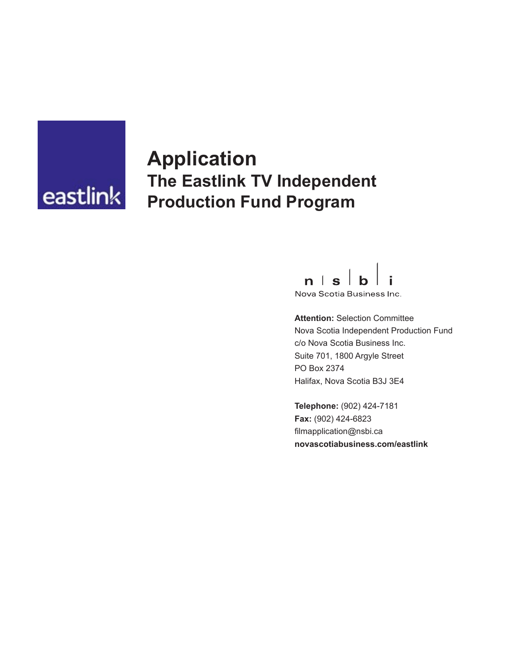

# **Application The Eastlink TV Independent Production Fund Program**



Nova Scotia Business Inc.

**Attention:** Selection Committee Nova Scotia Independent Production Fund c/o Nova Scotia Business Inc. Suite 701, 1800 Argyle Street PO Box 2374 Halifax, Nova Scotia B3J 3E4

**Telephone:** (902) 424-7181 **Fax:** (902) 424-6823 filmapplication@nsbi.ca **novascotiabusiness.com/eastlink**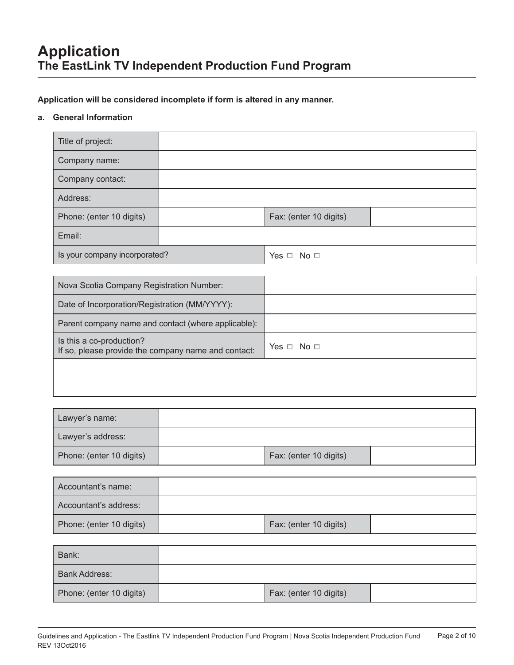**Application will be considered incomplete if form is altered in any manner.**

#### **a. General Information**

| Title of project:                                                               |  |                        |  |
|---------------------------------------------------------------------------------|--|------------------------|--|
| Company name:                                                                   |  |                        |  |
| Company contact:                                                                |  |                        |  |
| Address:                                                                        |  |                        |  |
| Phone: (enter 10 digits)                                                        |  | Fax: (enter 10 digits) |  |
| Email:                                                                          |  |                        |  |
| Is your company incorporated?                                                   |  | Yes $\Box$ No $\Box$   |  |
|                                                                                 |  |                        |  |
| Nova Scotia Company Registration Number:                                        |  |                        |  |
| Date of Incorporation/Registration (MM/YYYY):                                   |  |                        |  |
| Parent company name and contact (where applicable):                             |  |                        |  |
| Is this a co-production?<br>If so, please provide the company name and contact: |  | Yes $\Box$ No $\Box$   |  |
|                                                                                 |  |                        |  |
|                                                                                 |  |                        |  |
|                                                                                 |  |                        |  |
| Lawyer's name:                                                                  |  |                        |  |
| Lawyer's address:                                                               |  |                        |  |
| Phone: (enter 10 digits)                                                        |  | Fax: (enter 10 digits) |  |

| Accountant's name:       |                        |  |
|--------------------------|------------------------|--|
| Accountant's address:    |                        |  |
| Phone: (enter 10 digits) | Fax: (enter 10 digits) |  |

| Bank:                    |                        |  |
|--------------------------|------------------------|--|
| <b>Bank Address:</b>     |                        |  |
| Phone: (enter 10 digits) | Fax: (enter 10 digits) |  |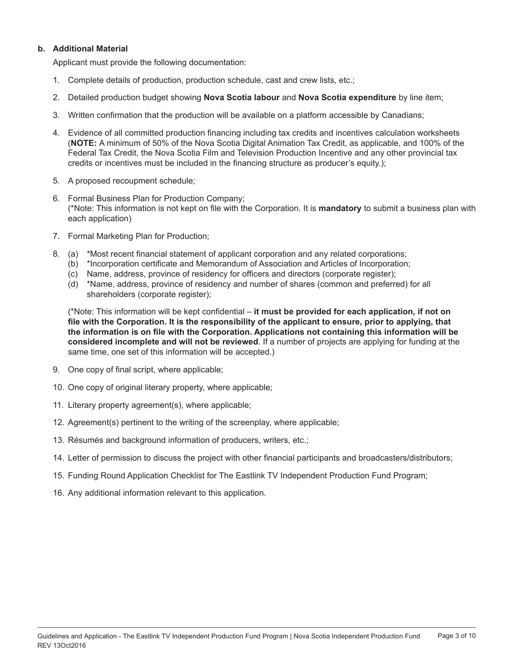#### **b. Additional Material**

Applicant must provide the following documentation:

- 1. Complete details of production, production schedule, cast and crew lists, etc.;
- 2. Detailed production budget showing **Nova Scotia labour** and **Nova Scotia expenditure** by line item;
- 3. Written confirmation that the production will be available on a platform accessible by Canadians;
- 4. Evidence of all committed production financing including tax credits and incentives calculation worksheets (**NOTE:** A minimum of 50% of the Nova Scotia Digital Animation Tax Credit, as applicable, and 100% of the Federal Tax Credit, the Nova Scotia Film and Television Production Incentive and any other provincial tax credits or incentives must be included in the financing structure as producer's equity.);
- 5. A proposed recoupment schedule;
- 6. Formal Business Plan for Production Company; (\*Note: This information is not kept on file with the Corporation. It is **mandatory** to submit a business plan with each application)
- 7. Formal Marketing Plan for Production;
- 8. (a) \*Most recent financial statement of applicant corporation and any related corporations;
	- (b) \*Incorporation certificate and Memorandum of Association and Articles of Incorporation;
	- (c) Name, address, province of residency for officers and directors (corporate register);
	- (d) \*Name, address, province of residency and number of shares (common and preferred) for all shareholders (corporate register);

(\*Note: This information will be kept confidential – **it must be provided for each application, if not on file with the Corporation. It is the responsibility of the applicant to ensure, prior to applying, that the information is on file with the Corporation. Applications not containing this information will be considered incomplete and will not be reviewed**. If a number of projects are applying for funding at the same time, one set of this information will be accepted.)

- 9. One copy of final script, where applicable;
- 10. One copy of original literary property, where applicable;
- 11. Literary property agreement(s), where applicable;
- 12. Agreement(s) pertinent to the writing of the screenplay, where applicable;
- 13. Résumés and background information of producers, writers, etc.;
- 14. Letter of permission to discuss the project with other financial participants and broadcasters/distributors;
- 15. Funding Round Application Checklist for The Eastlink TV Independent Production Fund Program;
- 16. Any additional information relevant to this application.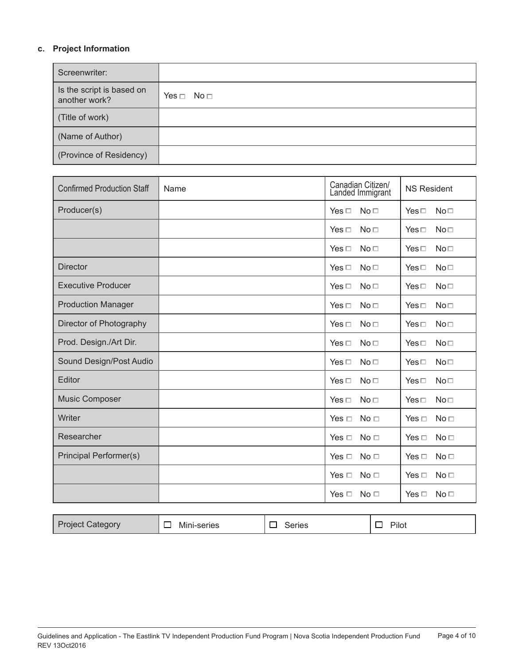### **c. Project Information**

| Screenwriter:                              |                      |
|--------------------------------------------|----------------------|
| Is the script is based on<br>another work? | Yes $\Box$ No $\Box$ |
| (Title of work)                            |                      |
| (Name of Author)                           |                      |
| (Province of Residency)                    |                      |

| <b>Confirmed Production Staff</b> | Name | Canadian Citizen/<br>Landed Immigrant | <b>NS Resident</b>               |
|-----------------------------------|------|---------------------------------------|----------------------------------|
| Producer(s)                       |      | Yes $\Box$<br>No <sub>1</sub>         | No <sub>1</sub><br>$Yes \Box$    |
|                                   |      | No <sub>1</sub><br>Yes $\Box$         | No <sub>1</sub><br>$Yes \Box$    |
|                                   |      | No <sub>1</sub><br>$Yes \Box$         | No <sub>1</sub><br>$Yes \Box$    |
| <b>Director</b>                   |      | Yes $\Box$<br>No <sub>1</sub>         | No <sub>1</sub><br>$Yes \Box$    |
| <b>Executive Producer</b>         |      | $Yes \Box$<br>No <sub>1</sub>         | $Yes \Box$<br>No <sub>1</sub>    |
| <b>Production Manager</b>         |      | Yes $\Box$<br>No <sub>1</sub>         | No <sub>1</sub><br>$Yes \Box$    |
| Director of Photography           |      | No <sub>1</sub><br>Yes $\Box$         | No <sub>1</sub><br>$Yes \Box$    |
| Prod. Design./Art Dir.            |      | Yes $\Box$<br>No <sub>1</sub>         | No <sub>1</sub><br>$Yes \Box$    |
| Sound Design/Post Audio           |      | Yes $\Box$<br>No <sub>1</sub>         | No <sub>1</sub><br>$Yes \Box$    |
| Editor                            |      | $Yes \Box$<br>No <sub>1</sub>         | No <sub>1</sub><br>$Yes \Box$    |
| <b>Music Composer</b>             |      | Yes $\Box$<br>No <sub>1</sub>         | No <sub>1</sub><br>$Yes \Box$    |
| Writer                            |      | Yes $\Box$<br>No <sub>1</sub>         | No <sub>1</sub><br>Yes $\Box$    |
| Researcher                        |      | Yes $\Box$<br>No <sub>1</sub>         | No <sub>1</sub><br>Yes $\Box$    |
| Principal Performer(s)            |      | No <sub>1</sub><br>Yes $\Box$         | No <sub>1</sub><br>Yes $\Box$    |
|                                   |      | Yes $\Box$<br>No <sub>1</sub>         | No <sub>1</sub><br>Yes $\Box$    |
|                                   |      | No <sub>1</sub><br>Yes $\Box$         | No <sub>1</sub><br>Yes $\square$ |

| <b>Project Category</b> | Mini-series | Series | Pilot |
|-------------------------|-------------|--------|-------|
|-------------------------|-------------|--------|-------|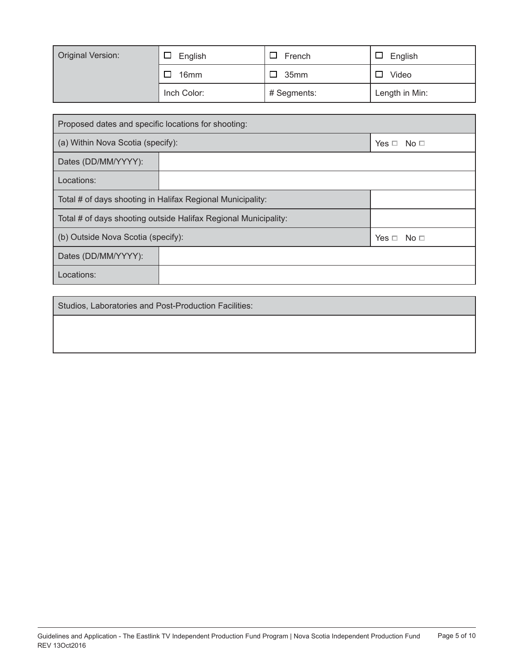| <b>Original Version:</b><br>English |             | French      | English        |
|-------------------------------------|-------------|-------------|----------------|
|                                     | 16mm        | 35mm<br>ப   | Video          |
|                                     | Inch Color: | # Segments: | Length in Min: |

| Proposed dates and specific locations for shooting:             |  |                       |  |
|-----------------------------------------------------------------|--|-----------------------|--|
| (a) Within Nova Scotia (specify):                               |  | Yes $\square$<br>No □ |  |
| Dates (DD/MM/YYYY):                                             |  |                       |  |
| Locations:                                                      |  |                       |  |
| Total # of days shooting in Halifax Regional Municipality:      |  |                       |  |
| Total # of days shooting outside Halifax Regional Municipality: |  |                       |  |
| (b) Outside Nova Scotia (specify):<br>Yes $\Box$ No $\Box$      |  |                       |  |
| Dates (DD/MM/YYYY):                                             |  |                       |  |
| Locations:                                                      |  |                       |  |

Studios, Laboratories and Post-Production Facilities: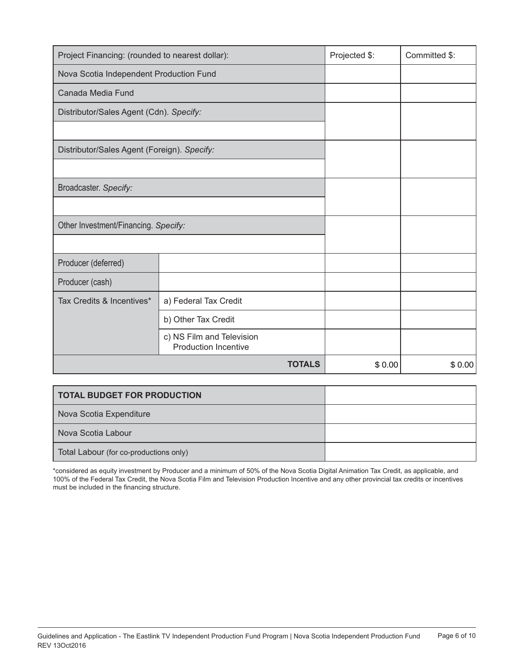| Project Financing: (rounded to nearest dollar): |                                                          |               | Projected \$: | Committed \$: |
|-------------------------------------------------|----------------------------------------------------------|---------------|---------------|---------------|
| Nova Scotia Independent Production Fund         |                                                          |               |               |               |
| Canada Media Fund                               |                                                          |               |               |               |
| Distributor/Sales Agent (Cdn). Specify:         |                                                          |               |               |               |
|                                                 |                                                          |               |               |               |
| Distributor/Sales Agent (Foreign). Specify:     |                                                          |               |               |               |
|                                                 |                                                          |               |               |               |
| Broadcaster. Specify:                           |                                                          |               |               |               |
|                                                 |                                                          |               |               |               |
| Other Investment/Financing. Specify:            |                                                          |               |               |               |
|                                                 |                                                          |               |               |               |
| Producer (deferred)                             |                                                          |               |               |               |
| Producer (cash)                                 |                                                          |               |               |               |
| Tax Credits & Incentives*                       | a) Federal Tax Credit                                    |               |               |               |
|                                                 | b) Other Tax Credit                                      |               |               |               |
|                                                 | c) NS Film and Television<br><b>Production Incentive</b> |               |               |               |
|                                                 |                                                          | <b>TOTALS</b> | \$0.00        | \$0.00        |

| <b>TOTAL BUDGET FOR PRODUCTION</b>     |  |
|----------------------------------------|--|
| Nova Scotia Expenditure                |  |
| Nova Scotia Labour                     |  |
| Total Labour (for co-productions only) |  |

\*considered as equity investment by Producer and a minimum of 50% of the Nova Scotia Digital Animation Tax Credit, as applicable, and 100% of the Federal Tax Credit, the Nova Scotia Film and Television Production Incentive and any other provincial tax credits or incentives must be included in the financing structure.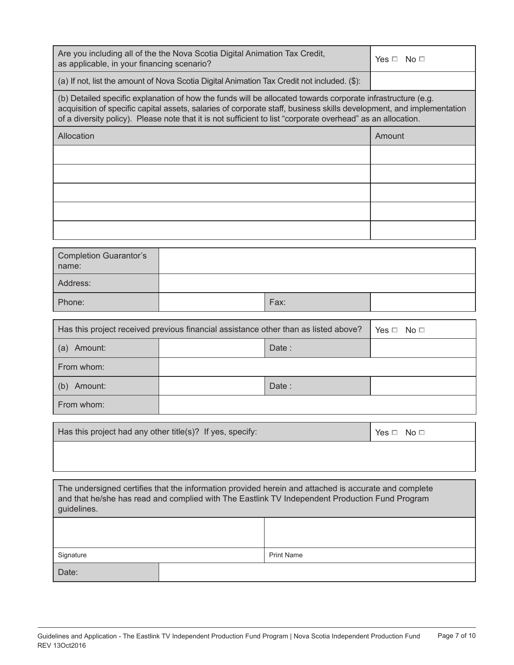| Are you including all of the the Nova Scotia Digital Animation Tax Credit,<br>as applicable, in your financing scenario?                                                                                              |                                                                                                                                                                                                                                                                                                                                                     |                   | Yes $\Box$ No $\Box$ |  |
|-----------------------------------------------------------------------------------------------------------------------------------------------------------------------------------------------------------------------|-----------------------------------------------------------------------------------------------------------------------------------------------------------------------------------------------------------------------------------------------------------------------------------------------------------------------------------------------------|-------------------|----------------------|--|
| (a) If not, list the amount of Nova Scotia Digital Animation Tax Credit not included. (\$):                                                                                                                           |                                                                                                                                                                                                                                                                                                                                                     |                   |                      |  |
|                                                                                                                                                                                                                       | (b) Detailed specific explanation of how the funds will be allocated towards corporate infrastructure (e.g.<br>acquisition of specific capital assets, salaries of corporate staff, business skills development, and implementation<br>of a diversity policy). Please note that it is not sufficient to list "corporate overhead" as an allocation. |                   |                      |  |
| Allocation                                                                                                                                                                                                            |                                                                                                                                                                                                                                                                                                                                                     |                   | Amount               |  |
|                                                                                                                                                                                                                       |                                                                                                                                                                                                                                                                                                                                                     |                   |                      |  |
|                                                                                                                                                                                                                       |                                                                                                                                                                                                                                                                                                                                                     |                   |                      |  |
|                                                                                                                                                                                                                       |                                                                                                                                                                                                                                                                                                                                                     |                   |                      |  |
|                                                                                                                                                                                                                       |                                                                                                                                                                                                                                                                                                                                                     |                   |                      |  |
|                                                                                                                                                                                                                       |                                                                                                                                                                                                                                                                                                                                                     |                   |                      |  |
| <b>Completion Guarantor's</b><br>name:                                                                                                                                                                                |                                                                                                                                                                                                                                                                                                                                                     |                   |                      |  |
| Address:                                                                                                                                                                                                              |                                                                                                                                                                                                                                                                                                                                                     |                   |                      |  |
| Phone:                                                                                                                                                                                                                |                                                                                                                                                                                                                                                                                                                                                     | Fax:              |                      |  |
|                                                                                                                                                                                                                       | Has this project received previous financial assistance other than as listed above?                                                                                                                                                                                                                                                                 |                   | $Yes \Box No \Box$   |  |
| (a) Amount:                                                                                                                                                                                                           |                                                                                                                                                                                                                                                                                                                                                     |                   |                      |  |
| From whom:                                                                                                                                                                                                            |                                                                                                                                                                                                                                                                                                                                                     |                   |                      |  |
| (b) Amount:                                                                                                                                                                                                           |                                                                                                                                                                                                                                                                                                                                                     | Date:             |                      |  |
| From whom:                                                                                                                                                                                                            |                                                                                                                                                                                                                                                                                                                                                     |                   |                      |  |
| Has this project had any other title(s)? If yes, specify:                                                                                                                                                             |                                                                                                                                                                                                                                                                                                                                                     |                   | Yes $\Box$ No $\Box$ |  |
|                                                                                                                                                                                                                       |                                                                                                                                                                                                                                                                                                                                                     |                   |                      |  |
| The undersigned certifies that the information provided herein and attached is accurate and complete<br>and that he/she has read and complied with The Eastlink TV Independent Production Fund Program<br>guidelines. |                                                                                                                                                                                                                                                                                                                                                     |                   |                      |  |
|                                                                                                                                                                                                                       |                                                                                                                                                                                                                                                                                                                                                     |                   |                      |  |
| Signature                                                                                                                                                                                                             |                                                                                                                                                                                                                                                                                                                                                     | <b>Print Name</b> |                      |  |
| Date:                                                                                                                                                                                                                 |                                                                                                                                                                                                                                                                                                                                                     |                   |                      |  |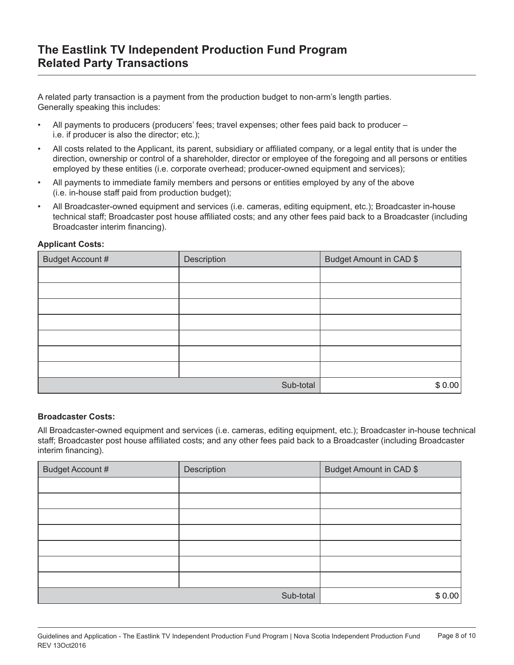A related party transaction is a payment from the production budget to non-arm's length parties. Generally speaking this includes:

- All payments to producers (producers' fees; travel expenses; other fees paid back to producer i.e. if producer is also the director; etc.);
- All costs related to the Applicant, its parent, subsidiary or affiliated company, or a legal entity that is under the direction, ownership or control of a shareholder, director or employee of the foregoing and all persons or entities employed by these entities (i.e. corporate overhead; producer-owned equipment and services);
- All payments to immediate family members and persons or entities employed by any of the above (i.e. in-house staff paid from production budget);
- All Broadcaster-owned equipment and services (i.e. cameras, editing equipment, etc.); Broadcaster in-house technical staff; Broadcaster post house affiliated costs; and any other fees paid back to a Broadcaster (including Broadcaster interim financing).

#### **Applicant Costs:**

| <b>Budget Account #</b> | Description | Budget Amount in CAD \$ |
|-------------------------|-------------|-------------------------|
|                         |             |                         |
|                         |             |                         |
|                         |             |                         |
|                         |             |                         |
|                         |             |                         |
|                         |             |                         |
|                         |             |                         |
|                         | Sub-total   | \$0.00                  |

#### **Broadcaster Costs:**

All Broadcaster-owned equipment and services (i.e. cameras, editing equipment, etc.); Broadcaster in-house technical staff; Broadcaster post house affiliated costs; and any other fees paid back to a Broadcaster (including Broadcaster interim financing).

| Budget Account # | Description | Budget Amount in CAD \$ |
|------------------|-------------|-------------------------|
|                  |             |                         |
|                  |             |                         |
|                  |             |                         |
|                  |             |                         |
|                  |             |                         |
|                  |             |                         |
|                  |             |                         |
| Sub-total        |             | \$0.00                  |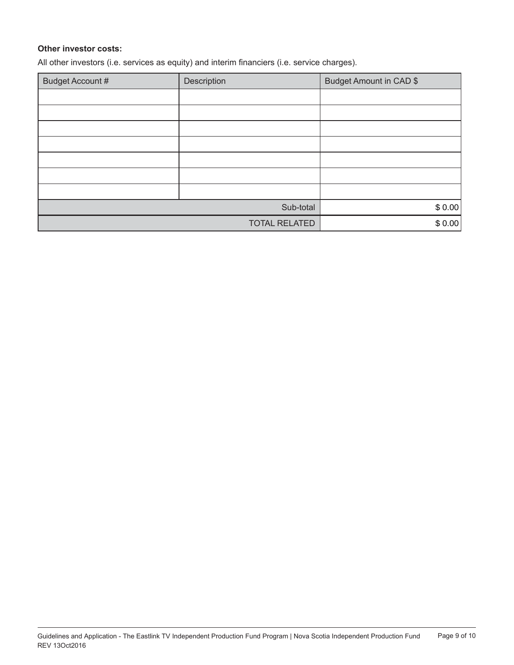#### **Other investor costs:**

All other investors (i.e. services as equity) and interim financiers (i.e. service charges).

| Budget Account #     | Description | Budget Amount in CAD \$ |
|----------------------|-------------|-------------------------|
|                      |             |                         |
|                      |             |                         |
|                      |             |                         |
|                      |             |                         |
|                      |             |                         |
|                      |             |                         |
|                      |             |                         |
| Sub-total            |             | \$0.00                  |
| <b>TOTAL RELATED</b> |             | \$0.00                  |